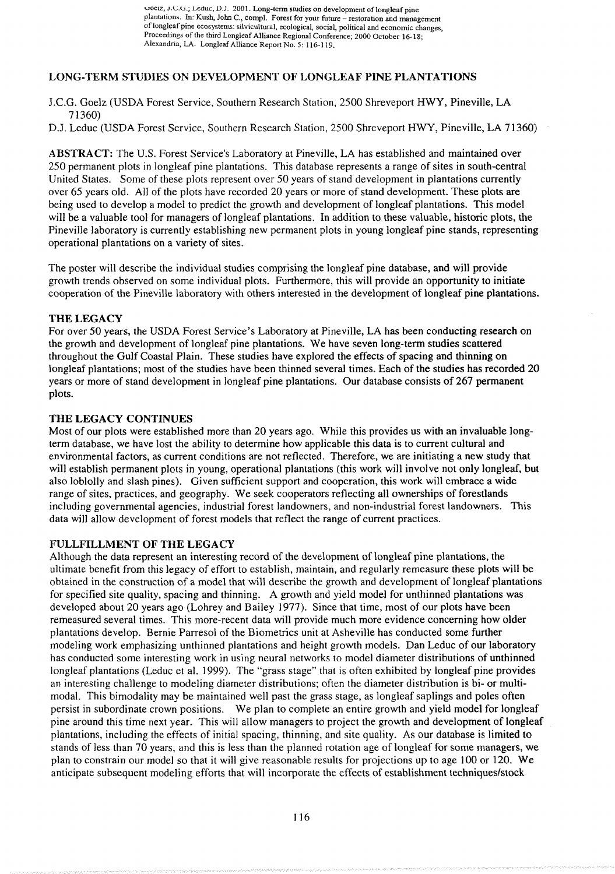uoelz, **J.L.~.;** Leduc, **U.J.** 2001. Long-term studies on development of longleaf pine plantations. In: Kush, John C., compl. Forest for your future - restoration and management of longleaf pine ecosystems: silvicultural, ecological, social, political and economic changes, Proceedings of the third Longleaf Alliance Regional Conference: 2000 October 16-18; Alexandria, LA. Longleaf Alliance Report No. 5: 116-1 19.

# **LONG-TERM STUDIES ON DEVELOPMENT OF LONGLEAF PINE PLANTATIONS**

- J.C.G. Goelz (USDA Forest Service, Southern Research Station, 2500 Shreveport HWY, Pineville, LA 7 1360)
- D.J. Leduc (USDA Forest Service, Southern Research Station, 2500 Shreveport HWY, Pineville, LA 7 1360)

**ABSTRACT:** The U.S. Forest Service's Laboratory at Pineville, LA has established and maintained over 250 permanent plots in longleaf pine plantations. This database represents a range of sites in south-central United States. Some of these plots represent over 50 years of stand development in plantations currently over 65 years old. All of the plots have recorded 20 years or more of stand development. These plots are being used to develop a model to predict the growth and development of longleaf plantations. This model will be a valuable tool for managers of longleaf plantations. In addition to these valuable, historic plots, the Pineville laboratory is currently establishing new permanent plots in young longleaf pine stands, representing operational plantations on a variety of sites.

The poster will describe the individual studies comprising the longleaf pine database, and will provide growth trends observed on some individual plots. Furthermore, this will provide an opportunity to initiate cooperation of the Pineville laboratory with others interested in the development of longleaf pine plantations.

## **THE LEGACY**

For over 50 years, the USDA Forest Service's Laboratory at Pineville, LA has been conducting research on the growth and development of longleaf pine plantations. We have seven long-term studies scattered throughout the Gulf Coastal Plain. These studies have explored the effects of spacing and thinning on longleaf plantations; most of the studies have been thinned several times. Each of the studies has recorded 20 years or more of stand development in longleaf pine plantations. Our database consists of 267 permanent plots.

## **THE LEGACY CONTINUES**

Most of our plots were established more than 20 years ago. While this provides us with an invaluable longterm database, we have lost the ability to determine how applicable this data is to current cultural and environmental factors, as current conditions are not reflected. Therefore, we are initiating a new study that will establish permanent plots in young, operational plantations (this work will involve not only longleaf, but also loblolly and slash pines). Given sufficient support and cooperation, this work will embrace a wide range of sites, practices, and geography. We seek cooperators reflecting all ownerships of forestlands including governmental agencies, industrial forest landowners, and non-industrial forest landowners. This data will allow development of forest models that reflect the range of current practices.

## **FULLFILLMENT OF THE LEGACY**

Although the data represent an interesting record of the development of longleaf pine plantations, the ultimate benefit from this legacy of effort to establish, maintain, and regularly remeasure these plots will be obtained in the construction of a model that will describe the growth and development of longleaf plantations for specified site quality, spacing and thinning. A growth and yield model for unthinned plantations was developed about 20 years ago (Lohrey and Bailey 1977). Since that time, most of our plots have been remeasured several times. This more-recent data will provide much more evidence concerning how older plantations develop. Bernie Parresol of the Biometrics unit at Asheville has conducted some further modeling work emphasizing unthinned plantations and height growth models. Dan Leduc of our laboratory has conducted some interesting work in using neural networks to model diameter distributions of unthinned longleaf plantations (Leduc et al. 1999). The "grass stage" that is often exhibited by longleaf pine provides an interesting challenge to modeling diameter distributions; often the diameter distribution is bi- or multimodal. This bimodality may be maintained well past the grass stage, as longleaf saplings and poles often persist in subordinate crown positions. We plan to complete an entire growth and yield model for longleaf pine around this time next year. This will allow managers to project the growth and development of longleaf plantations, including the effects of initial spacing, thinning, and site quality. As our database is limited to stands of less than 70 years, and this is less than the planned rotation age of longleaf for some managers, we plan to constrain our model so that it will give reasonable results for projections up to age 100 or 120. We anticipate subsequent modeling efforts that will incorporate the effects of establishment techniques/stock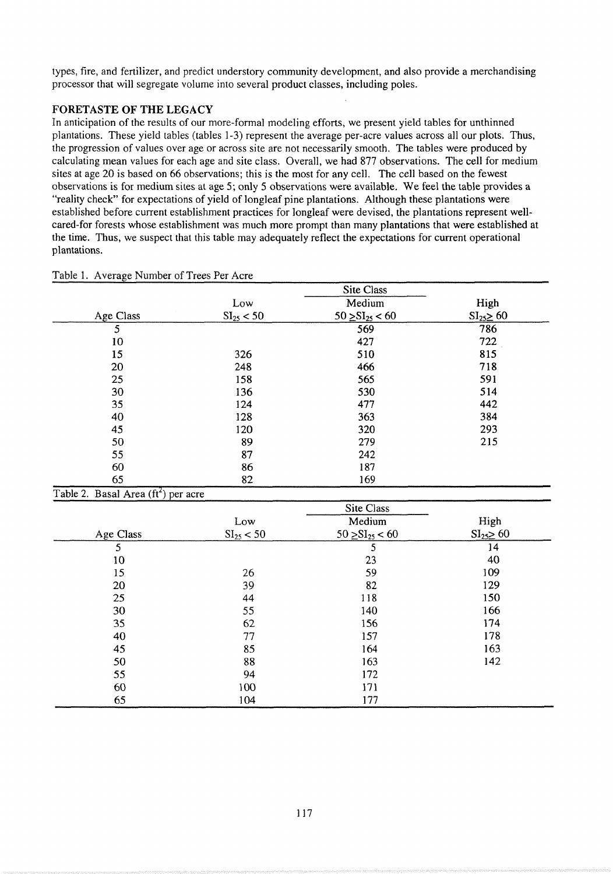types, fire, and fertilizer, and predict understory community development, and also provide a merchandising processor that will segregate volume into several product classes, including poles.

# **FORETASTE OF THE LEGACY**

In anticipation of the results of our more-formal modeling efforts, we present yield tables for unthinned plantations. These yield tables (tables 1-3) represent the average per-acre values across all our plots. Thus, the progression of values over age or across site are not necessarily smooth. The tables were produced by calculating mean values for each age and site class. Overall, we had 877 observations. The cell for medium sites at age 20 is based on 66 observations; this is the most for any cell. The cell based on the fewest observations is for medium sites at age 5; only 5 observations were available. We feel the table provides a "reality check" for expectations of yield of longleaf pine plantations. Although these plantations were established before current establishment practices for longleaf were devised, the plantations represent wellcared-for forests whose establishment was much more prompt than many plantations that were established at the time. Thus, we suspect that this table may adequately reflect the expectations for current operational plantations.

|                                       |                | Site Class             |               |
|---------------------------------------|----------------|------------------------|---------------|
|                                       | Low            | Medium                 | High          |
| Age Class                             | $SI_{25} < 50$ | $50 \geq SI_{25} < 60$ | $SI25 \ge 60$ |
| 5                                     |                | 569                    | 786           |
| 10                                    |                | 427                    | 722           |
| 15                                    | 326            | 510                    | 815           |
| 20                                    | 248            | 466                    | 718           |
| 25                                    | 158            | 565                    | 591           |
| 30                                    | 136            | 530                    | 514           |
| 35                                    | 124            | 477                    | 442           |
| 40                                    | 128            | 363                    | 384           |
| 45                                    | 120            | 320                    | 293           |
| 50                                    | 89             | 279                    | 215           |
| 55                                    | 87             | 242                    |               |
| 60                                    | 86             | 187                    |               |
| 65                                    | 82             | 169                    |               |
| Table 2. Basal Area $(ft^2)$ per acre |                |                        |               |

#### Table 1. Average Number of Trees Per Acre

| . <del>.</del> |                | Site Class             |               |
|----------------|----------------|------------------------|---------------|
|                | Low            | Medium                 | High          |
| Age Class      | $SI_{25} < 50$ | $50 \geq SI_{25} < 60$ | $SI25 \ge 60$ |
| 5              |                | 5                      | 14            |
| 10             |                | 23                     | 40            |
| 15             | 26             | 59                     | 109           |
| 20             | 39             | 82                     | 129           |
| 25             | 44             | 118                    | 150           |
| 30             | 55             | 140                    | 166           |
| 35             | 62             | 156                    | 174           |
| 40             | 77             | 157                    | 178           |
| 45             | 85             | 164                    | 163           |
| 50             | 88             | 163                    | 142           |
| 55             | 94             | 172                    |               |
| 60             | 100            | 171                    |               |
| 65             | 104            | 177                    |               |